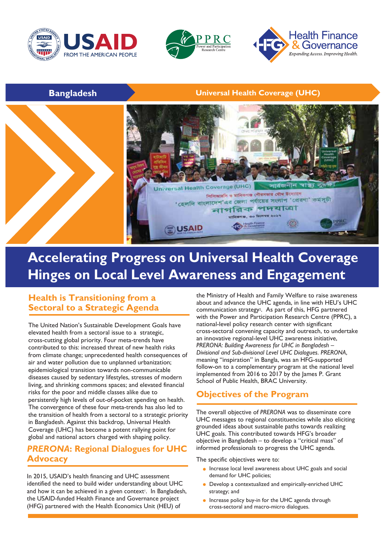





## **Bangladesh Universal Health Coverage (UHC)**



# **Accelerating Progress on Universal Health Coverage Hinges on Local Level Awareness and Engagement**

## **Health is Transitioning from a Sectoral to a Strategic Agenda**

The United Nation's Sustainable Development Goals have elevated health from a sectoral issue to a strategic, cross-cutting global priority. Four meta-trends have contributed to this: increased threat of new health risks from climate change; unprecedented health consequences of air and water pollution due to unplanned urbanization; epidemiological transition towards non-communicable diseases caused by sedentary lifestyles, stresses of modern living, and shrinking commons spaces; and elevated financial risks for the poor and middle classes alike due to persistently high levels of out-of-pocket spending on health. The convergence of these four meta-trends has also led to the transition of health from a sectoral to a strategic priority in Bangladesh. Against this backdrop, Universal Health Coverage (UHC) has become a potent rallying point for global and national actors charged with shaping policy.

## *PRERONA***: Regional Dialogues for UHC Advocacy**

In 2015, USAID's health financing and UHC assessment identified the need to build wider understanding about UHC and how it can be achieved in a given context<sup>1</sup>. In Bangladesh, the USAID-funded Health Finance and Governance project (HFG) partnered with the Health Economics Unit (HEU) of

the Ministry of Health and Family Welfare to raise awareness about and advance the UHC agenda, in line with HEU's UHC communication strategy<sup>2</sup>. As part of this, HFG partnered with the Power and Participation Research Centre (PPRC), a national-level policy research center with significant cross-sectoral convening capacity and outreach, to undertake an innovative regional-level UHC awareness initiative, *PRERONA: Building Awareness for UHC in Bangladesh – Divisional and Sub-divisional Level UHC Dialogues*. *PRERONA*, meaning "inspiration" in Bangla, was an HFG-supported follow-on to a complementary program at the national level implemented from 2016 to 2017 by the James P. Grant School of Public Health, BRAC University.

## **Objectives of the Program**

The overall objective of *PRERONA* was to disseminate core UHC messages to regional constituencies while also eliciting grounded ideas about sustainable paths towards realizing UHC goals. This contributed towards HFG's broader objective in Bangladesh – to develop a "critical mass" of informed professionals to progress the UHC agenda.

The specific objectives were to:

- **•** Increase local level awareness about UHC goals and social demand for UHC policies;
- **•** Develop a contextualized and empirically-enriched UHC strategy; and
- **•** Increase policy buy-in for the UHC agenda through cross-sectoral and macro-micro dialogues.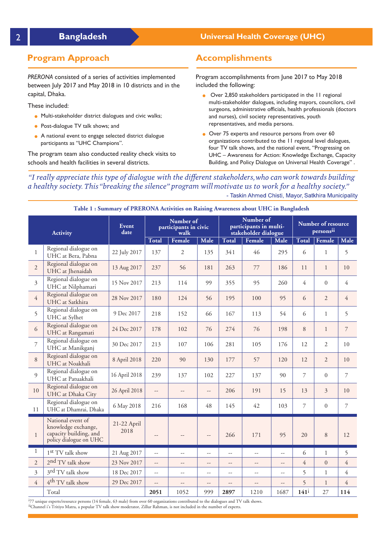## **Program Approach**

*PRERONA* consisted of a series of activities implemented between July 2017 and May 2018 in 10 districts and in the capital, Dhaka.

These included:

- **•** Multi-stakeholder district dialogues and civic walks;
- **•** Post-dialogue TV talk shows; and
- **•** A national event to engage selected district dialogue participants as "UHC Champions".

The program team also conducted reality check visits to schools and health facilities in several districts.

## **Bangladesh Universal Health Coverage (UHC)**

## **Accomplishments**

Program accomplishments from June 2017 to May 2018 included the following:

- **•** Over 2,850 stakeholders participated in the 11 regional multi-stakeholder dialogues, including mayors, councilors, civil surgeons, administrative officials, health professionals (doctors and nurses), civil society representatives, youth representatives, and media persons.
- **•** Over 75 experts and resource persons from over 60 organizations contributed to the 11 regional level dialogues, four TV talk shows, and the national event, "Progressing on UHC – Awareness for Action: Knowledge Exchange, Capacity Building, and Policy Dialogue on Universal Health Coverage" .

"I really appreciate this type of dialogue with the different stakeholders, who can work towards building a healthy society. This "breaking the silence" program will motivate us to work for a healthy society." - Taskin Ahmed Chisti, Mayor, Satkhira Municipality

| <b>Activity</b> |                                                                                              | Event<br>date       | Number of<br>participants in civic<br>walk |                |                | Number of<br>participants in multi-<br>stakeholder dialogue |                          |                | Number of resource<br>personsii |                |                |
|-----------------|----------------------------------------------------------------------------------------------|---------------------|--------------------------------------------|----------------|----------------|-------------------------------------------------------------|--------------------------|----------------|---------------------------------|----------------|----------------|
|                 |                                                                                              |                     | <b>Total</b>                               | Female         | Male           | <b>Total</b>                                                | Female                   | Male           | Total                           | Female         | Male           |
| $\mathbf{1}$    | Regional dialogue on<br>UHC at Bera, Pabna                                                   | 22 July 2017        | 137                                        | $\mathbf{2}$   | 135            | 341                                                         | 46                       | 295            | 6                               | $\mathbf{1}$   | 5              |
| $\overline{2}$  | Regional dialogue on<br>UHC at Jhenaidah                                                     | 13 Aug 2017         | 237                                        | 56             | 181            | 263                                                         | 77                       | 186            | 11                              | $\mathbf{1}$   | 10             |
| $\overline{3}$  | Regional dialogue on<br>UHC at Nilphamari                                                    | 15 Nov 2017         | 213                                        | 114            | 99             | 355                                                         | 95                       | 260            | 4                               | $\Omega$       | $\overline{4}$ |
| $\overline{4}$  | Regional dialogue on<br>UHC at Satkhira                                                      | 28 Nov 2017         | 180                                        | 124            | 56             | 195                                                         | 100                      | 95             | 6                               | 2              | $\overline{4}$ |
| 5               | Regional dialogue on<br>UHC at Sylhet                                                        | 9 Dec 2017          | 218                                        | 152            | 66             | 167                                                         | 113                      | 54             | 6                               | $\mathbf{1}$   | 5              |
| 6               | Regional dialogue on<br>UHC at Rangamati                                                     | 24 Dec 2017         | 178                                        | 102            | 76             | 274                                                         | 76                       | 198            | 8                               | $\mathbf{1}$   | 7              |
| 7               | Regional dialogue on<br>UHC at Manikganj                                                     | 30 Dec 2017         | 213                                        | 107            | 106            | 281                                                         | 105                      | 176            | 12                              | 2              | 10             |
| 8               | Regioanl dialogue on<br>UHC at Noakhali                                                      | 8 April 2018        | 220                                        | 90             | 130            | 177                                                         | 57                       | 120            | 12                              | $\overline{2}$ | 10             |
| $\overline{Q}$  | Regional dialogue on<br>UHC at Patuakhali                                                    | 16 April 2018       | 239                                        | 137            | 102            | 227                                                         | 137                      | 90             | 7                               | $\Omega$       | $\overline{7}$ |
| 10              | Regional dialogue on<br>UHC at Dhaka City                                                    | 26 April 2018       | $\overline{\phantom{a}}$                   | $\overline{a}$ | $\overline{a}$ | 206                                                         | 191                      | 15             | 13                              | 3              | 10             |
| 11              | Regional dialogue on<br>UHC at Dhamrai, Dhaka                                                | 6 May 2018          | 216                                        | 168            | 48             | 145                                                         | 42                       | 103            | 7                               | $\Omega$       | $\overline{7}$ |
| $\mathbf{1}$    | National event of<br>knowledge exchange,<br>capacity building, and<br>policy dialogue on UHC | 21-22 April<br>2018 | --                                         |                | --             | 266                                                         | 171                      | 95             | 20                              | 8              | 12             |
| $\mathbf{1}$    | 1 <sup>st</sup> TV talk show                                                                 | 21 Aug 2017         | 44                                         | --             | $-$            | $\overline{\phantom{a}}$                                    | --                       | $-$            | 6                               | $\mathbf{1}$   | 5              |
| $\overline{2}$  | 2 <sup>nd</sup> TV talk show                                                                 | 23 Nov 2017         | $\overline{\phantom{a}}$                   | $-$            | $-$            | $\overline{\phantom{a}}$                                    | $-$                      | $-$            | $\overline{4}$                  | $\overline{0}$ | $\overline{4}$ |
| 3               | 3 <sup>rd</sup> TV talk show                                                                 | 18 Dec 2017         | $\overline{a}$                             | $-$            | $-$            | $\sim$ $\sim$                                               | $-$                      | $\overline{a}$ | 5                               | $\mathbf{1}$   | $\overline{4}$ |
| $\overline{4}$  | 4 <sup>th</sup> TV talk show                                                                 | 29 Dec 2017         | $\overline{\phantom{a}}$                   | --             | --             | $\overline{\phantom{a}}$                                    | $\overline{\phantom{a}}$ | --             | 5                               | $\mathbf{1}$   | $\overline{4}$ |
|                 | Total                                                                                        |                     | 2051                                       | 1052           | 999            | 2897                                                        | 1210                     | 1687           | 141 <sup>i</sup>                | 27             | 114            |

#### **Table 1 : Summary of PRERONA Activities on Raising Awareness about UHC in Bangladesh**

i 77 unique experts/resource persons (14 female, 63 male) from over 60 organizations contributed to the dialogues and TV talk shows. iiChannel i's Tritiyo Matra, a popular TV talk show moderator, Zillur Rahman, is not included in the number of experts.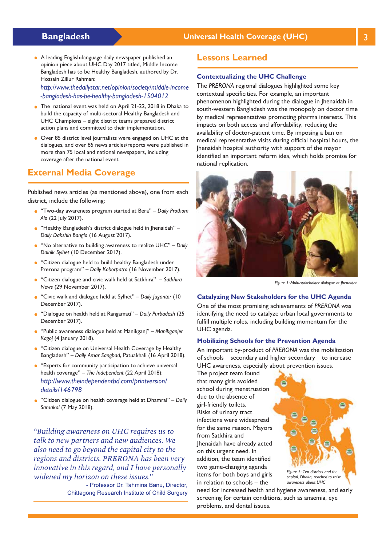### **Bangladesh Manual Lines Coverage (UHC)** 3 and 2 and 2 billion Universal Health Coverage (UHC)

**•** A leading English-language daily newspaper published an opinion piece about UHC Day 2017 titled, Middle Income Bangladesh has to be Healthy Bangladesh, authored by Dr. Hossain Zillur Rahman:

*http://www.thedailystar.net/opinion/society/middle-income -bangladesh-has-be-healthy-bangladesh-1504012*

- **•** The national event was held on April 21-22, 2018 in Dhaka to build the capacity of multi-sectoral Healthy Bangladesh and UHC Champions – eight district teams prepared district action plans and committed to their implementation.
- **•** Over 85 district level journalists were engaged on UHC at the dialogues, and over 85 news articles/reports were published in more than 75 local and national newspapers, including coverage after the national event.

## **External Media Coverage**

Published news articles (as mentioned above), one from each district, include the following:

- **•** "Two-day awareness program started at Bera" *Daily Prothom Alo* (22 July 2017).
- **•** "Healthy Bangladesh's district dialogue held in Jhenaidah" *Daily Dakshin Bangla* (16 August 2017).
- **•** "No alternative to building awareness to realize UHC" *Daily Dainik Sylhet* (10 December 2017).
- **•** "Citizen dialogue held to build healthy Bangladesh under Prerona program" – *Daily Koborpatro* (16 November 2017).
- **•** "Citizen dialogue and civic walk held at Satkhira" *Satkhira News* (29 November 2017).
- **•** "Civic walk and dialogue held at Sylhet" *Daily Jugantor* (10 December 2017).
- **•** "Dialogue on health held at Rangamati" *Daily Purbadesh* (25 December 2017).
- **•** "Public awareness dialogue held at Manikganj" *Manikganjer Kagoj* (4 January 2018).
- **•** "Citizen dialogue on Universal Health Coverage by Healthy Bangladesh" – *Daily Amar Sangbad*, Patuakhali (16 April 2018).
- **•** "Experts for community participation to achieve universal health coverage" – *The Independent* (22 April 2018): *http://www.theindependentbd.com/printversion/ details/146798*
- **•** "Citizen dialogue on health coverage held at Dhamrai" *Daily Samakal* (7 May 2018).

"Building awareness on UHC requires us to talk to new partners and new audiences. We also need to go beyond the capital city to the regions and districts. PRERONA has been very innovative in this regard, and I have personally widened my horizon on these issues."

> - Professor Dr. Tahmina Banu, Director, Chittagong Research Institute of Child Surgery

## **Lessons Learned**

#### **Contextualizing the UHC Challenge**

The *PRERONA* regional dialogues highlighted some key contextual specificities. For example, an important phenomenon highlighted during the dialogue in Jhenaidah in south-western Bangladesh was the monopoly on doctor time by medical representatives promoting pharma interests. This impacts on both access and affordability, reducing the availability of doctor-patient time. By imposing a ban on medical representative visits during official hospital hours, the Jhenaidah hospital authority with support of the mayor identified an important reform idea, which holds promise for national replication.



*Figure 1: Multi-stakeholder dialogue at Jhenaidah*

#### **Catalyzing New Stakeholders for the UHC Agenda**

One of the most promising achievements of *PRERONA* was identifying the need to catalyze urban local governments to fulfill multiple roles, including building momentum for the UHC agenda.

#### **Mobilizing Schools for the Prevention Agenda**

An important by-product of *PRERONA* was the mobilization of schools – secondary and higher secondary – to increase UHC awareness, especially about prevention issues.

The project team found that many girls avoided school during menstruation due to the absence of girl-friendly toilets. Risks of urinary tract infections were widespread for the same reason. Mayors from Satkhira and Jhenaidah have already acted on this urgent need. In addition, the team identified two game-changing agenda items for both boys and girls in relation to schools – the



need for increased health and hygiene awareness, and early screening for certain conditions, such as anaemia, eye problems, and dental issues.